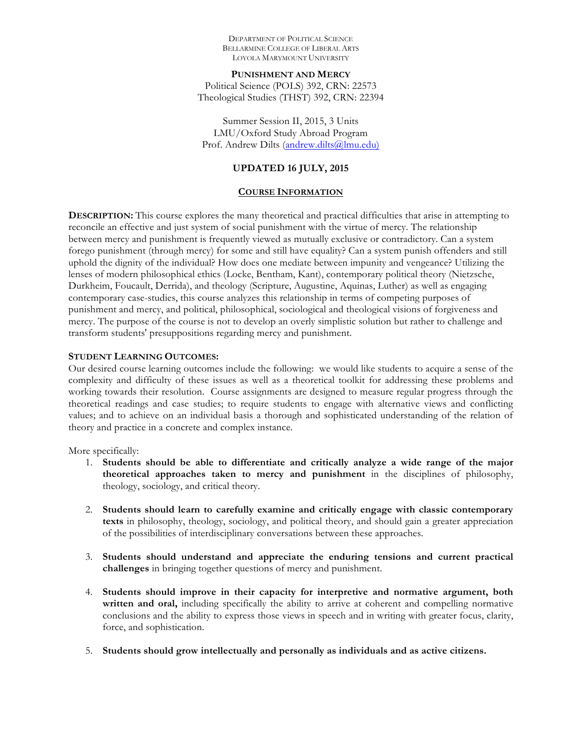DEPARTMENT OF POLITICAL SCIENCE BELLARMINE COLLEGE OF LIBERAL ARTS LOYOLA MARYMOUNT UNIVERSITY

**PUNISHMENT AND MERCY** Political Science (POLS) 392, CRN: 22573 Theological Studies (THST) 392, CRN: 22394

Summer Session II, 2015, 3 Units LMU/Oxford Study Abroad Program Prof. Andrew Dilts (andrew.dilts@lmu.edu)

#### **UPDATED 16 JULY, 2015**

#### **COURSE INFORMATION**

**DESCRIPTION:** This course explores the many theoretical and practical difficulties that arise in attempting to reconcile an effective and just system of social punishment with the virtue of mercy. The relationship between mercy and punishment is frequently viewed as mutually exclusive or contradictory. Can a system forego punishment (through mercy) for some and still have equality? Can a system punish offenders and still uphold the dignity of the individual? How does one mediate between impunity and vengeance? Utilizing the lenses of modern philosophical ethics (Locke, Bentham, Kant), contemporary political theory (Nietzsche, Durkheim, Foucault, Derrida), and theology (Scripture, Augustine, Aquinas, Luther) as well as engaging contemporary case-studies, this course analyzes this relationship in terms of competing purposes of punishment and mercy, and political, philosophical, sociological and theological visions of forgiveness and mercy. The purpose of the course is not to develop an overly simplistic solution but rather to challenge and transform students' presuppositions regarding mercy and punishment.

#### **STUDENT LEARNING OUTCOMES:**

Our desired course learning outcomes include the following: we would like students to acquire a sense of the complexity and difficulty of these issues as well as a theoretical toolkit for addressing these problems and working towards their resolution. Course assignments are designed to measure regular progress through the theoretical readings and case studies; to require students to engage with alternative views and conflicting values; and to achieve on an individual basis a thorough and sophisticated understanding of the relation of theory and practice in a concrete and complex instance.

More specifically:

- 1. **Students should be able to differentiate and critically analyze a wide range of the major theoretical approaches taken to mercy and punishment** in the disciplines of philosophy, theology, sociology, and critical theory.
- 2. **Students should learn to carefully examine and critically engage with classic contemporary texts** in philosophy, theology, sociology, and political theory, and should gain a greater appreciation of the possibilities of interdisciplinary conversations between these approaches.
- 3. **Students should understand and appreciate the enduring tensions and current practical challenges** in bringing together questions of mercy and punishment.
- 4. **Students should improve in their capacity for interpretive and normative argument, both written and oral,** including specifically the ability to arrive at coherent and compelling normative conclusions and the ability to express those views in speech and in writing with greater focus, clarity, force, and sophistication.
- 5. **Students should grow intellectually and personally as individuals and as active citizens.**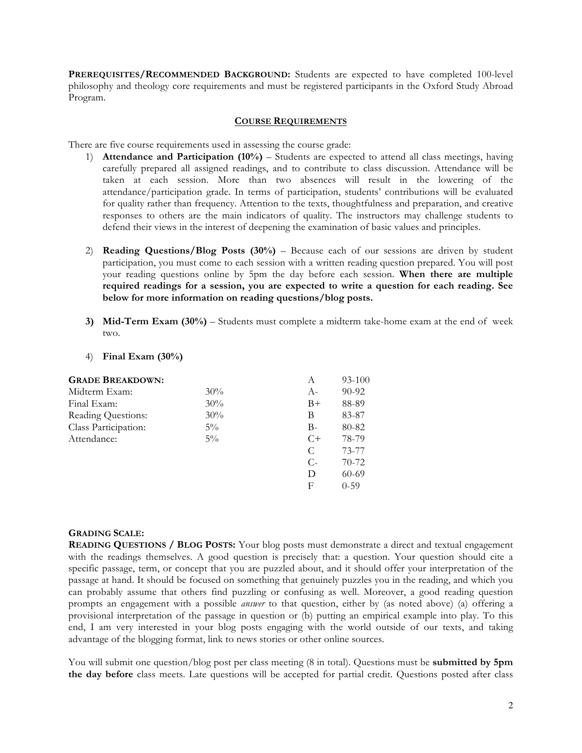**PREREQUISITES/RECOMMENDED BACKGROUND:** Students are expected to have completed 100-level philosophy and theology core requirements and must be registered participants in the Oxford Study Abroad Program.

#### **COURSE REQUIREMENTS**

There are five course requirements used in assessing the course grade:

- 1) **Attendance and Participation (10%)** Students are expected to attend all class meetings, having carefully prepared all assigned readings, and to contribute to class discussion. Attendance will be taken at each session. More than two absences will result in the lowering of the attendance/participation grade. In terms of participation, students' contributions will be evaluated for quality rather than frequency. Attention to the texts, thoughtfulness and preparation, and creative responses to others are the main indicators of quality. The instructors may challenge students to defend their views in the interest of deepening the examination of basic values and principles.
- 2) **Reading Questions/Blog Posts (30%)** Because each of our sessions are driven by student participation, you must come to each session with a written reading question prepared. You will post your reading questions online by 5pm the day before each session. **When there are multiple required readings for a session, you are expected to write a question for each reading. See below for more information on reading questions/blog posts.**
- **3) Mid-Term Exam (30%)**  Students must complete a midterm take-home exam at the end of week two.
- 4) **Final Exam (30%)**

| <b>GRADE BREAKDOWN:</b> |       | A     | 93-100    |
|-------------------------|-------|-------|-----------|
| Midterm Exam:           | 30%   | $A-$  | $90 - 92$ |
| Final Exam:             | 30%   | $B+$  | 88-89     |
| Reading Questions:      | 30%   | В     | 83-87     |
| Class Participation:    | $5\%$ | B-    | 80-82     |
| Attendance:             | $5\%$ | $C+$  | 78-79     |
|                         |       | C     | 73-77     |
|                         |       | $C$ - | $70 - 72$ |
|                         |       | D     | $60 - 69$ |
|                         |       | F     | $0 - 59$  |
|                         |       |       |           |

#### **GRADING SCALE:**

**READING QUESTIONS / BLOG POSTS:** Your blog posts must demonstrate a direct and textual engagement with the readings themselves. A good question is precisely that: a question. Your question should cite a specific passage, term, or concept that you are puzzled about, and it should offer your interpretation of the passage at hand. It should be focused on something that genuinely puzzles you in the reading, and which you can probably assume that others find puzzling or confusing as well. Moreover, a good reading question prompts an engagement with a possible *answer* to that question, either by (as noted above) (a) offering a provisional interpretation of the passage in question or (b) putting an empirical example into play. To this end, I am very interested in your blog posts engaging with the world outside of our texts, and taking advantage of the blogging format, link to news stories or other online sources.

You will submit one question/blog post per class meeting (8 in total). Questions must be **submitted by 5pm the day before** class meets. Late questions will be accepted for partial credit. Questions posted after class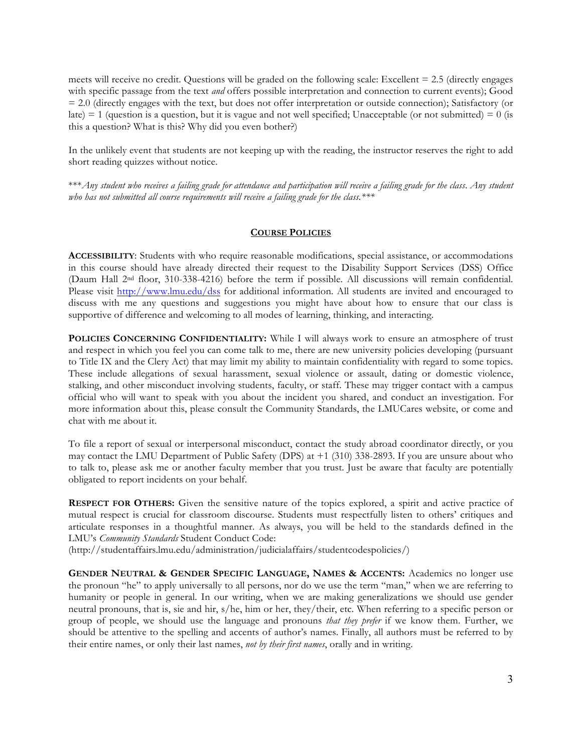meets will receive no credit. Questions will be graded on the following scale: Excellent = 2.5 (directly engages with specific passage from the text *and* offers possible interpretation and connection to current events); Good = 2.0 (directly engages with the text, but does not offer interpretation or outside connection); Satisfactory (or late) = 1 (question is a question, but it is vague and not well specified; Unacceptable (or not submitted) =  $0$  (is this a question? What is this? Why did you even bother?)

In the unlikely event that students are not keeping up with the reading, the instructor reserves the right to add short reading quizzes without notice.

\*\*\**Any student who receives a failing grade for attendance and participation will receive a failing grade for the class*. *Any student who has not submitted all course requirements will receive a failing grade for the class.\*\*\**

#### **COURSE POLICIES**

**ACCESSIBILITY**: Students with who require reasonable modifications, special assistance, or accommodations in this course should have already directed their request to the Disability Support Services (DSS) Office (Daum Hall 2nd floor, 310-338-4216) before the term if possible. All discussions will remain confidential. Please visit http://www.lmu.edu/dss for additional information. All students are invited and encouraged to discuss with me any questions and suggestions you might have about how to ensure that our class is supportive of difference and welcoming to all modes of learning, thinking, and interacting.

**POLICIES CONCERNING CONFIDENTIALITY:** While I will always work to ensure an atmosphere of trust and respect in which you feel you can come talk to me, there are new university policies developing (pursuant to Title IX and the Clery Act) that may limit my ability to maintain confidentiality with regard to some topics. These include allegations of sexual harassment, sexual violence or assault, dating or domestic violence, stalking, and other misconduct involving students, faculty, or staff. These may trigger contact with a campus official who will want to speak with you about the incident you shared, and conduct an investigation. For more information about this, please consult the Community Standards, the LMUCares website, or come and chat with me about it.

To file a report of sexual or interpersonal misconduct, contact the study abroad coordinator directly, or you may contact the LMU Department of Public Safety (DPS) at +1 (310) 338-2893. If you are unsure about who to talk to, please ask me or another faculty member that you trust. Just be aware that faculty are potentially obligated to report incidents on your behalf.

**RESPECT FOR OTHERS:** Given the sensitive nature of the topics explored, a spirit and active practice of mutual respect is crucial for classroom discourse. Students must respectfully listen to others' critiques and articulate responses in a thoughtful manner. As always, you will be held to the standards defined in the LMU's *Community Standards* Student Conduct Code:

(http://studentaffairs.lmu.edu/administration/judicialaffairs/studentcodespolicies/)

**GENDER NEUTRAL & GENDER SPECIFIC LANGUAGE, NAMES & ACCENTS:** Academics no longer use the pronoun "he" to apply universally to all persons, nor do we use the term "man," when we are referring to humanity or people in general. In our writing, when we are making generalizations we should use gender neutral pronouns, that is, sie and hir, s/he, him or her, they/their, etc. When referring to a specific person or group of people, we should use the language and pronouns *that they prefer* if we know them. Further, we should be attentive to the spelling and accents of author's names. Finally, all authors must be referred to by their entire names, or only their last names, *not by their first names*, orally and in writing.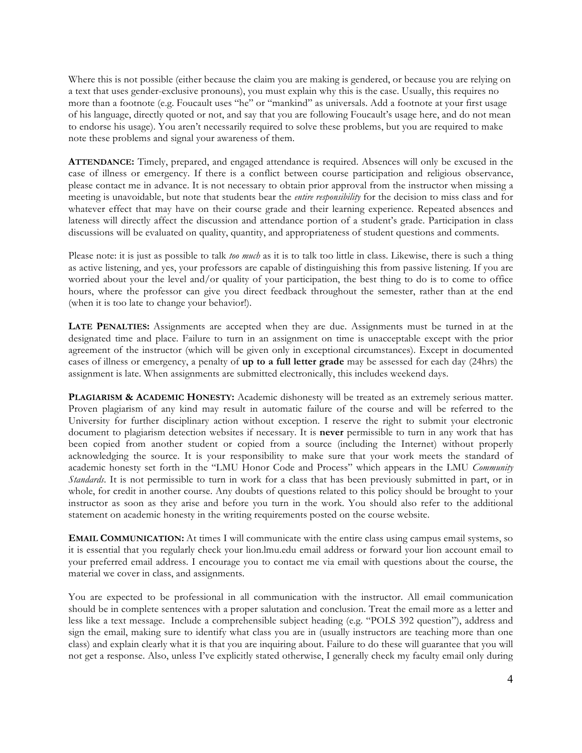Where this is not possible (either because the claim you are making is gendered, or because you are relying on a text that uses gender-exclusive pronouns), you must explain why this is the case. Usually, this requires no more than a footnote (e.g. Foucault uses "he" or "mankind" as universals. Add a footnote at your first usage of his language, directly quoted or not, and say that you are following Foucault's usage here, and do not mean to endorse his usage). You aren't necessarily required to solve these problems, but you are required to make note these problems and signal your awareness of them.

**ATTENDANCE:** Timely, prepared, and engaged attendance is required. Absences will only be excused in the case of illness or emergency. If there is a conflict between course participation and religious observance, please contact me in advance. It is not necessary to obtain prior approval from the instructor when missing a meeting is unavoidable, but note that students bear the *entire responsibility* for the decision to miss class and for whatever effect that may have on their course grade and their learning experience. Repeated absences and lateness will directly affect the discussion and attendance portion of a student's grade. Participation in class discussions will be evaluated on quality, quantity, and appropriateness of student questions and comments.

Please note: it is just as possible to talk *too much* as it is to talk too little in class. Likewise, there is such a thing as active listening, and yes, your professors are capable of distinguishing this from passive listening. If you are worried about your the level and/or quality of your participation, the best thing to do is to come to office hours, where the professor can give you direct feedback throughout the semester, rather than at the end (when it is too late to change your behavior!).

**LATE PENALTIES:** Assignments are accepted when they are due. Assignments must be turned in at the designated time and place. Failure to turn in an assignment on time is unacceptable except with the prior agreement of the instructor (which will be given only in exceptional circumstances). Except in documented cases of illness or emergency, a penalty of **up to a full letter grade** may be assessed for each day (24hrs) the assignment is late. When assignments are submitted electronically, this includes weekend days.

**PLAGIARISM & ACADEMIC HONESTY:** Academic dishonesty will be treated as an extremely serious matter. Proven plagiarism of any kind may result in automatic failure of the course and will be referred to the University for further disciplinary action without exception. I reserve the right to submit your electronic document to plagiarism detection websites if necessary. It is **never** permissible to turn in any work that has been copied from another student or copied from a source (including the Internet) without properly acknowledging the source. It is your responsibility to make sure that your work meets the standard of academic honesty set forth in the "LMU Honor Code and Process" which appears in the LMU *Community Standards*. It is not permissible to turn in work for a class that has been previously submitted in part, or in whole, for credit in another course. Any doubts of questions related to this policy should be brought to your instructor as soon as they arise and before you turn in the work. You should also refer to the additional statement on academic honesty in the writing requirements posted on the course website.

**EMAIL COMMUNICATION:** At times I will communicate with the entire class using campus email systems, so it is essential that you regularly check your lion.lmu.edu email address or forward your lion account email to your preferred email address. I encourage you to contact me via email with questions about the course, the material we cover in class, and assignments.

You are expected to be professional in all communication with the instructor. All email communication should be in complete sentences with a proper salutation and conclusion. Treat the email more as a letter and less like a text message. Include a comprehensible subject heading (e.g. "POLS 392 question"), address and sign the email, making sure to identify what class you are in (usually instructors are teaching more than one class) and explain clearly what it is that you are inquiring about. Failure to do these will guarantee that you will not get a response. Also, unless I've explicitly stated otherwise, I generally check my faculty email only during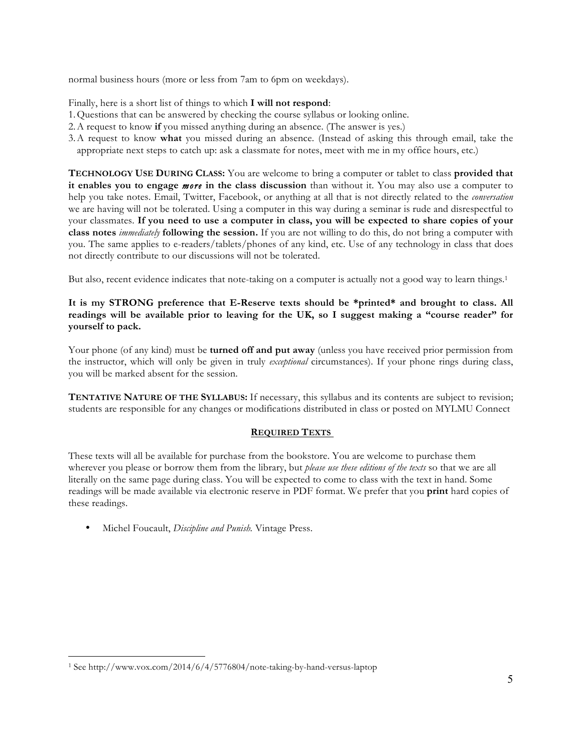normal business hours (more or less from 7am to 6pm on weekdays).

Finally, here is a short list of things to which **I will not respond**:

- 1.Questions that can be answered by checking the course syllabus or looking online.
- 2.A request to know **if** you missed anything during an absence. (The answer is yes.)
- 3.A request to know **what** you missed during an absence. (Instead of asking this through email, take the appropriate next steps to catch up: ask a classmate for notes, meet with me in my office hours, etc.)

**TECHNOLOGY USE DURING CLASS:** You are welcome to bring a computer or tablet to class **provided that it enables you to engage** *more* **in the class discussion** than without it. You may also use a computer to help you take notes. Email, Twitter, Facebook, or anything at all that is not directly related to the *conversation*  we are having will not be tolerated. Using a computer in this way during a seminar is rude and disrespectful to your classmates. **If you need to use a computer in class, you will be expected to share copies of your class notes** *immediately* **following the session.** If you are not willing to do this, do not bring a computer with you. The same applies to e-readers/tablets/phones of any kind, etc. Use of any technology in class that does not directly contribute to our discussions will not be tolerated.

But also, recent evidence indicates that note-taking on a computer is actually not a good way to learn things.<sup>1</sup>

# **It is my STRONG preference that E-Reserve texts should be \*printed\* and brought to class. All readings will be available prior to leaving for the UK, so I suggest making a "course reader" for yourself to pack.**

Your phone (of any kind) must be **turned off and put away** (unless you have received prior permission from the instructor, which will only be given in truly *exceptional* circumstances). If your phone rings during class, you will be marked absent for the session.

**TENTATIVE NATURE OF THE SYLLABUS:** If necessary, this syllabus and its contents are subject to revision; students are responsible for any changes or modifications distributed in class or posted on MYLMU Connect

## **REQUIRED TEXTS**

These texts will all be available for purchase from the bookstore. You are welcome to purchase them wherever you please or borrow them from the library, but *please use these editions of the texts* so that we are all literally on the same page during class. You will be expected to come to class with the text in hand. Some readings will be made available via electronic reserve in PDF format. We prefer that you **print** hard copies of these readings.

• Michel Foucault, *Discipline and Punish.* Vintage Press.

 $\overline{a}$ 

<sup>1</sup> See http://www.vox.com/2014/6/4/5776804/note-taking-by-hand-versus-laptop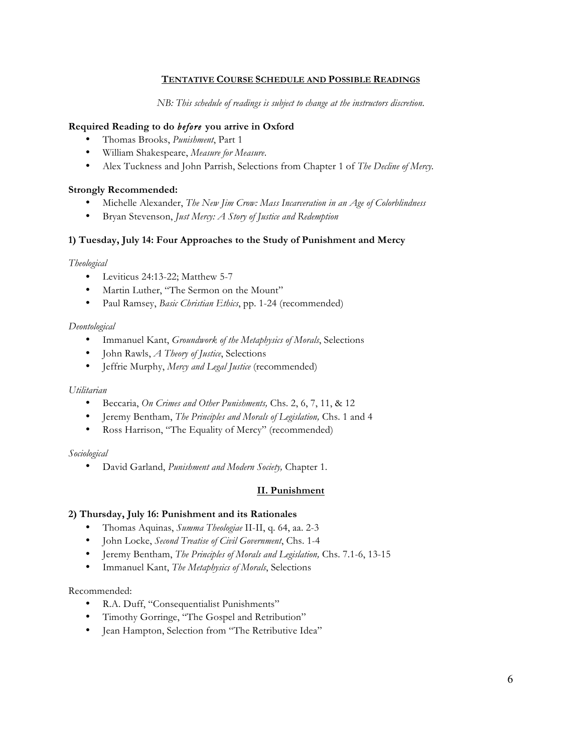## **TENTATIVE COURSE SCHEDULE AND POSSIBLE READINGS**

*NB: This schedule of readings is subject to change at the instructors discretion.*

## **Required Reading to do** *before* **you arrive in Oxford**

- Thomas Brooks, *Punishment*, Part 1
- William Shakespeare, *Measure for Measure*.
- Alex Tuckness and John Parrish, Selections from Chapter 1 of *The Decline of Mercy.*

## **Strongly Recommended:**

- Michelle Alexander, *The New Jim Crow: Mass Incarceration in an Age of Colorblindness*
- Bryan Stevenson, *Just Mercy: A Story of Justice and Redemption*

# **1) Tuesday, July 14: Four Approaches to the Study of Punishment and Mercy**

## *Theological*

- Leviticus 24:13-22; Matthew 5-7
- Martin Luther, "The Sermon on the Mount"
- Paul Ramsey, *Basic Christian Ethics*, pp. 1-24 (recommended)

## *Deontological*

- Immanuel Kant, *Groundwork of the Metaphysics of Morals*, Selections
- John Rawls, *A Theory of Justice*, Selections
- Jeffrie Murphy, *Mercy and Legal Justice* (recommended)

## *Utilitarian*

- Beccaria, *On Crimes and Other Punishments,* Chs. 2, 6, 7, 11, & 12
- Jeremy Bentham, *The Principles and Morals of Legislation,* Chs. 1 and 4
- Ross Harrison, "The Equality of Mercy" (recommended)

## *Sociological*

• David Garland, *Punishment and Modern Society,* Chapter 1.

## **II. Punishment**

## **2) Thursday, July 16: Punishment and its Rationales**

- Thomas Aquinas, *Summa Theologiae* II-II, q. 64, aa. 2-3
- John Locke, *Second Treatise of Civil Government*, Chs. 1-4
- Jeremy Bentham, *The Principles of Morals and Legislation,* Chs. 7.1-6, 13-15
- Immanuel Kant, *The Metaphysics of Morals*, Selections

## Recommended:

- R.A. Duff, "Consequentialist Punishments"
- Timothy Gorringe, "The Gospel and Retribution"
- Jean Hampton, Selection from "The Retributive Idea"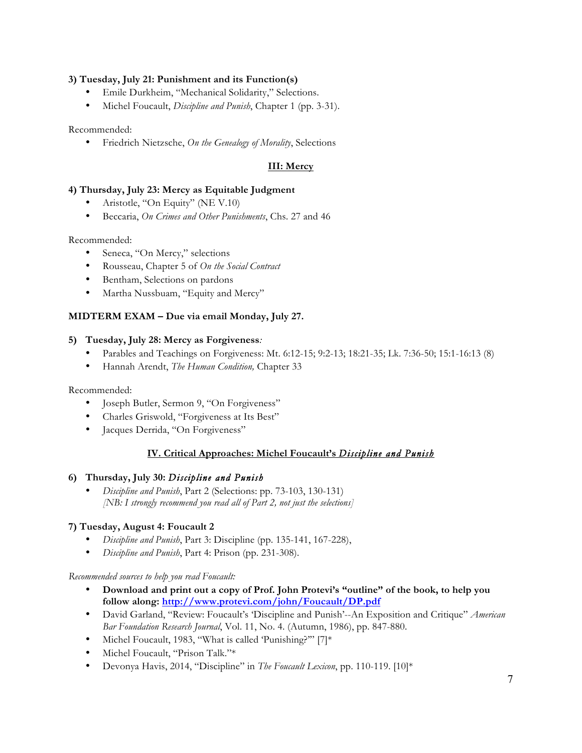## **3) Tuesday, July 21: Punishment and its Function(s)**

- Emile Durkheim, "Mechanical Solidarity," Selections.
- Michel Foucault, *Discipline and Punish*, Chapter 1 (pp. 3-31).

Recommended:

• Friedrich Nietzsche, *On the Genealogy of Morality*, Selections

# **III: Mercy**

#### **4) Thursday, July 23: Mercy as Equitable Judgment**

- Aristotle, "On Equity" (NE V.10)
- Beccaria, *On Crimes and Other Punishments*, Chs. 27 and 46

Recommended:

- Seneca, "On Mercy," selections
- Rousseau, Chapter 5 of *On the Social Contract*
- Bentham, Selections on pardons
- Martha Nussbuam, "Equity and Mercy"

## **MIDTERM EXAM – Due via email Monday, July 27.**

## **5) Tuesday, July 28: Mercy as Forgiveness***:*

- Parables and Teachings on Forgiveness: Mt. 6:12-15; 9:2-13; 18:21-35; Lk. 7:36-50; 15:1-16:13 (8)
- Hannah Arendt, *The Human Condition,* Chapter 33

Recommended:

- Joseph Butler, Sermon 9, "On Forgiveness"
- Charles Griswold, "Forgiveness at Its Best"
- Jacques Derrida, "On Forgiveness"

## **IV. Critical Approaches: Michel Foucault's** *Discipline and Punish*

#### **6) Thursday, July 30:** *Discipline and Punish*

• *Discipline and Punish*, Part 2 (Selections: pp. 73-103, 130-131) *[NB: I strongly recommend you read all of Part 2, not just the selections]*

## **7) Tuesday, August 4: Foucault 2**

- *Discipline and Punish*, Part 3: Discipline (pp. 135-141, 167-228),
- *Discipline and Punish*, Part 4: Prison (pp. 231-308).

*Recommended sources to help you read Foucault:* 

- **Download and print out a copy of Prof. John Protevi's "outline" of the book, to help you follow along: http://www.protevi.com/john/Foucault/DP.pdf**
- David Garland, "Review: Foucault's 'Discipline and Punish'--An Exposition and Critique" *American Bar Foundation Research Journal*, Vol. 11, No. 4. (Autumn, 1986), pp. 847-880.
- Michel Foucault, 1983, "What is called 'Punishing?"" [7]\*
- Michel Foucault, "Prison Talk."\*
- Devonya Havis, 2014, "Discipline" in *The Foucault Lexicon*, pp. 110-119. [10]\*